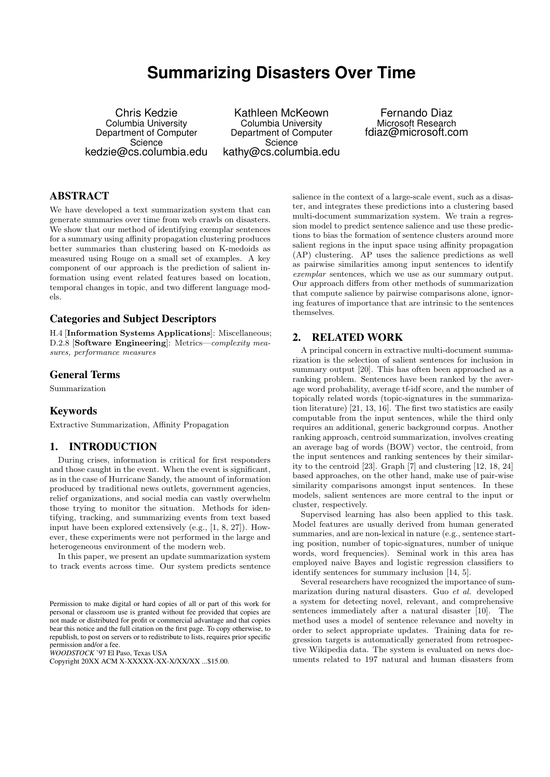# **Summarizing Disasters Over Time**

Chris Kedzie Columbia University Department of Computer **Science** kedzie@cs.columbia.edu

Kathleen McKeown Columbia University Department of Computer **Science** kathy@cs.columbia.edu

Fernando Diaz Microsoft Research fdiaz@microsoft.com

# ABSTRACT

We have developed a text summarization system that can generate summaries over time from web crawls on disasters. We show that our method of identifying exemplar sentences for a summary using affinity propagation clustering produces better summaries than clustering based on K-medoids as measured using Rouge on a small set of examples. A key component of our approach is the prediction of salient information using event related features based on location, temporal changes in topic, and two different language models.

## Categories and Subject Descriptors

H.4 [Information Systems Applications]: Miscellaneous; D.2.8 [Software Engineering]: Metrics—complexity measures, performance measures

## General Terms

Summarization

## Keywords

Extractive Summarization, Affinity Propagation

## 1. INTRODUCTION

During crises, information is critical for first responders and those caught in the event. When the event is significant, as in the case of Hurricane Sandy, the amount of information produced by traditional news outlets, government agencies, relief organizations, and social media can vastly overwhelm those trying to monitor the situation. Methods for identifying, tracking, and summarizing events from text based input have been explored extensively (e.g., [1, 8, 27]). However, these experiments were not performed in the large and heterogeneous environment of the modern web.

In this paper, we present an update summarization system to track events across time. Our system predicts sentence

*WOODSTOCK* '97 El Paso, Texas USA

salience in the context of a large-scale event, such as a disaster, and integrates these predictions into a clustering based multi-document summarization system. We train a regression model to predict sentence salience and use these predictions to bias the formation of sentence clusters around more salient regions in the input space using affinity propagation (AP) clustering. AP uses the salience predictions as well as pairwise similarities among input sentences to identify exemplar sentences, which we use as our summary output. Our approach differs from other methods of summarization that compute salience by pairwise comparisons alone, ignoring features of importance that are intrinsic to the sentences themselves.

## 2. RELATED WORK

A principal concern in extractive multi-document summarization is the selection of salient sentences for inclusion in summary output [20]. This has often been approached as a ranking problem. Sentences have been ranked by the average word probability, average tf-idf score, and the number of topically related words (topic-signatures in the summarization literature) [21, 13, 16]. The first two statistics are easily computable from the input sentences, while the third only requires an additional, generic background corpus. Another ranking approach, centroid summarization, involves creating an average bag of words (BOW) vector, the centroid, from the input sentences and ranking sentences by their similarity to the centroid [23]. Graph [7] and clustering [12, 18, 24] based approaches, on the other hand, make use of pair-wise similarity comparisons amongst input sentences. In these models, salient sentences are more central to the input or cluster, respectively.

Supervised learning has also been applied to this task. Model features are usually derived from human generated summaries, and are non-lexical in nature (e.g., sentence starting position, number of topic-signatures, number of unique words, word frequencies). Seminal work in this area has employed naive Bayes and logistic regression classifiers to identify sentences for summary inclusion [14, 5].

Several researchers have recognized the importance of summarization during natural disasters. Guo et al. developed a system for detecting novel, relevant, and comprehensive sentences immediately after a natural disaster [10]. The method uses a model of sentence relevance and novelty in order to select appropriate updates. Training data for regression targets is automatically generated from retrospective Wikipedia data. The system is evaluated on news documents related to 197 natural and human disasters from

Permission to make digital or hard copies of all or part of this work for personal or classroom use is granted without fee provided that copies are not made or distributed for profit or commercial advantage and that copies bear this notice and the full citation on the first page. To copy otherwise, to republish, to post on servers or to redistribute to lists, requires prior specific permission and/or a fee.

Copyright 20XX ACM X-XXXXX-XX-X/XX/XX ...\$15.00.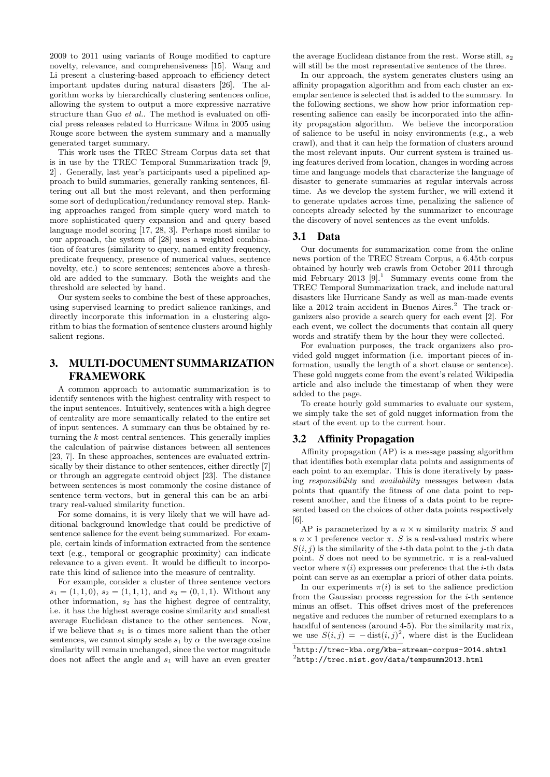2009 to 2011 using variants of Rouge modified to capture novelty, relevance, and comprehensiveness [15]. Wang and Li present a clustering-based approach to efficiency detect important updates during natural disasters [26]. The algorithm works by hierarchically clustering sentences online, allowing the system to output a more expressive narrative structure than Guo et al.. The method is evaluated on official press releases related to Hurricane Wilma in 2005 using Rouge score between the system summary and a manually generated target summary.

This work uses the TREC Stream Corpus data set that is in use by the TREC Temporal Summarization track [9, 2] . Generally, last year's participants used a pipelined approach to build summaries, generally ranking sentences, filtering out all but the most relevant, and then performing some sort of deduplication/redundancy removal step. Ranking approaches ranged from simple query word match to more sophisticated query expansion and and query based language model scoring [17, 28, 3]. Perhaps most similar to our approach, the system of [28] uses a weighted combination of features (similarity to query, named entity frequency, predicate frequency, presence of numerical values, sentence novelty, etc.) to score sentences; sentences above a threshold are added to the summary. Both the weights and the threshold are selected by hand.

Our system seeks to combine the best of these approaches, using supervised learning to predict salience rankings, and directly incorporate this information in a clustering algorithm to bias the formation of sentence clusters around highly salient regions.

## 3. MULTI-DOCUMENT SUMMARIZATION FRAMEWORK

A common approach to automatic summarization is to identify sentences with the highest centrality with respect to the input sentences. Intuitively, sentences with a high degree of centrality are more semantically related to the entire set of input sentences. A summary can thus be obtained by returning the  $k$  most central sentences. This generally implies the calculation of pairwise distances between all sentences [23, 7]. In these approaches, sentences are evaluated extrinsically by their distance to other sentences, either directly [7] or through an aggregate centroid object [23]. The distance between sentences is most commonly the cosine distance of sentence term-vectors, but in general this can be an arbitrary real-valued similarity function.

For some domains, it is very likely that we will have additional background knowledge that could be predictive of sentence salience for the event being summarized. For example, certain kinds of information extracted from the sentence text (e.g., temporal or geographic proximity) can indicate relevance to a given event. It would be difficult to incorporate this kind of salience into the measure of centrality.

For example, consider a cluster of three sentence vectors  $s_1 = (1, 1, 0), s_2 = (1, 1, 1), \text{ and } s_3 = (0, 1, 1).$  Without any other information,  $s_2$  has the highest degree of centrality, i.e. it has the highest average cosine similarity and smallest average Euclidean distance to the other sentences. Now, if we believe that  $s_1$  is  $\alpha$  times more salient than the other sentences, we cannot simply scale  $s_1$  by  $\alpha$ –the average cosine similarity will remain unchanged, since the vector magnitude does not affect the angle and  $s_1$  will have an even greater the average Euclidean distance from the rest. Worse still,  $s_2$ will still be the most representative sentence of the three.

In our approach, the system generates clusters using an affinity propagation algorithm and from each cluster an exemplar sentence is selected that is added to the summary. In the following sections, we show how prior information representing salience can easily be incorporated into the affinity propagation algorithm. We believe the incorporation of salience to be useful in noisy environments (e.g., a web crawl), and that it can help the formation of clusters around the most relevant inputs. Our current system is trained using features derived from location, changes in wording across time and language models that characterize the language of disaster to generate summaries at regular intervals across time. As we develop the system further, we will extend it to generate updates across time, penalizing the salience of concepts already selected by the summarizer to encourage the discovery of novel sentences as the event unfolds.

## 3.1 Data

Our documents for summarization come from the online news portion of the TREC Stream Corpus, a 6.45tb corpus obtained by hourly web crawls from October 2011 through mid February 2013  $[9]$ .<sup>1</sup> Summary events come from the TREC Temporal Summarization track, and include natural disasters like Hurricane Sandy as well as man-made events like a 2012 train accident in Buenos Aires.<sup>2</sup> The track organizers also provide a search query for each event [2]. For each event, we collect the documents that contain all query words and stratify them by the hour they were collected.

For evaluation purposes, the track organizers also provided gold nugget information (i.e. important pieces of information, usually the length of a short clause or sentence). These gold nuggets come from the event's related Wikipedia article and also include the timestamp of when they were added to the page.

To create hourly gold summaries to evaluate our system, we simply take the set of gold nugget information from the start of the event up to the current hour.

#### 3.2 Affinity Propagation

Affinity propagation (AP) is a message passing algorithm that identifies both exemplar data points and assignments of each point to an exemplar. This is done iteratively by passing responsibility and availability messages between data points that quantify the fitness of one data point to represent another, and the fitness of a data point to be represented based on the choices of other data points respectively [6].

AP is parameterized by a  $n \times n$  similarity matrix S and a  $n \times 1$  preference vector  $\pi$ . S is a real-valued matrix where  $S(i, j)$  is the similarity of the *i*-th data point to the *j*-th data point. S does not need to be symmetric.  $\pi$  is a real-valued vector where  $\pi(i)$  expresses our preference that the *i*-th data point can serve as an exemplar a priori of other data points.

In our experiments  $\pi(i)$  is set to the salience prediction from the Gaussian process regression for the  $i$ -th sentence minus an offset. This offset drives most of the preferences negative and reduces the number of returned exemplars to a handful of sentences (around 4-5). For the similarity matrix, we use  $S(i, j) = -\text{dist}(i, j)^2$ , where dist is the Euclidean

<sup>1</sup> http://trec-kba.org/kba-stream-corpus-2014.shtml

<sup>2</sup> http://trec.nist.gov/data/tempsumm2013.html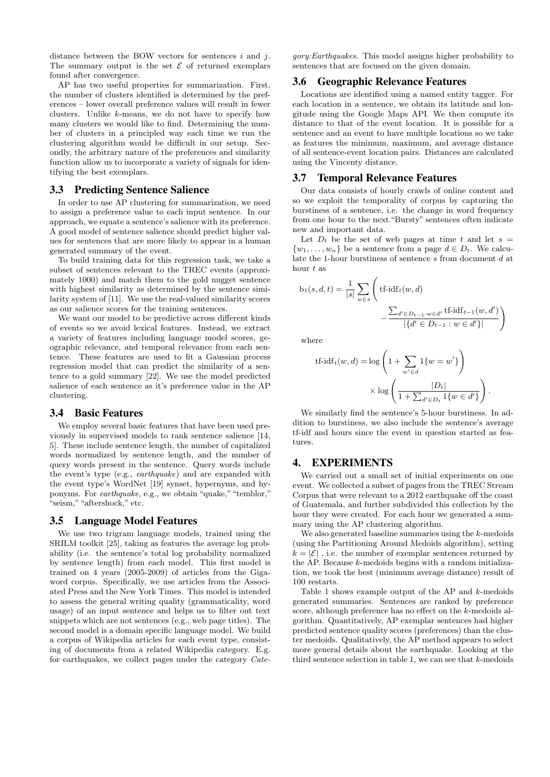distance between the BOW vectors for sentences  $i$  and  $j$ . The summary output is the set  $\mathcal E$  of returned exemplars found after convergence.

AP has two useful properties for summarization. First, the number of clusters identified is determined by the preferences – lower overall preference values will result in fewer clusters. Unlike k-means, we do not have to specify how many clusters we would like to find. Determining the number of clusters in a principled way each time we run the clustering algorithm would be difficult in our setup. Secondly, the arbitrary nature of the preferences and similarity function allow us to incorporate a variety of signals for identifying the best exemplars.

## 3.3 Predicting Sentence Salience

In order to use AP clustering for summarization, we need to assign a preference value to each input sentence. In our approach, we equate a sentence's salience with its preference. A good model of sentence salience should predict higher values for sentences that are more likely to appear in a human generated summary of the event.

To build training data for this regression task, we take a subset of sentences relevant to the TREC events (approximately 1000) and match them to the gold nugget sentence with highest similarity as determined by the sentence similarity system of [11]. We use the real-valued similarity scores as our salience scores for the training sentences.

We want our model to be predictive across different kinds of events so we avoid lexical features. Instead, we extract a variety of features including language model scores, geographic relevance, and temporal relevance from each sentence. These features are used to fit a Gaussian process regression model that can predict the similarity of a sentence to a gold summary [22]. We use the model predicted salience of each sentence as it's preference value in the AP clustering.

#### 3.4 Basic Features

We employ several basic features that have been used previously in supervised models to rank sentence salience [14, 5]. These include sentence length, the number of capitalized words normalized by sentence length, and the number of query words present in the sentence. Query words include the event's type (e.g., earthquake) and are expanded with the event type's WordNet [19] synset, hypernyms, and hyponyms. For earthquake, e.g., we obtain "quake,""temblor," "seism,""aftershock," etc.

## 3.5 Language Model Features

We use two trigram language models, trained using the SRILM toolkit [25], taking as features the average log probability (i.e. the sentence's total log probability normalized by sentence length) from each model. This first model is trained on 4 years (2005-2009) of articles from the Gigaword corpus. Specifically, we use articles from the Associated Press and the New York Times. This model is intended to assess the general writing quality (grammaticality, word usage) of an input sentence and helps us to filter out text snippets which are not sentences (e.g., web page titles). The second model is a domain specific language model. We build a corpus of Wikipedia articles for each event type, consisting of documents from a related Wikipedia category. E.g. for earthquakes, we collect pages under the category Cate-

gory:Earthquakes. This model assigns higher probability to sentences that are focused on the given domain.

#### 3.6 Geographic Relevance Features

Locations are identified using a named entity tagger. For each location in a sentence, we obtain its latitude and longitude using the Google Maps API. We then compute its distance to that of the event location. It is possible for a sentence and an event to have multiple locations so we take as features the minimum, maximum, and average distance of all sentence-event location pairs. Distances are calculated using the Vincenty distance.

#### 3.7 Temporal Relevance Features

Our data consists of hourly crawls of online content and so we exploit the temporality of corpus by capturing the burstiness of a sentence, i.e. the change in word frequency from one hour to the next."Bursty" sentences often indicate new and important data.

Let  $D_t$  be the set of web pages at time t and let  $s =$  $\{w_1, \ldots, w_n\}$  be a sentence from a page  $d \in D_t$ . We calculate the 1-hour burstiness of sentence s from document d at hour  $t$  as

$$
b_1(s, d, t) = \frac{1}{|s|} \sum_{w \in s} \left( \text{tf-idf}_t(w, d) - \frac{\sum_{d' \in D_{t-1}: w \in d'} \text{tf-idf}_{t-1}(w, d')}{|\{d' \in D_{t-1}: w \in d'\}|} \right)
$$

where

$$
\text{tf-idf}_{t}(w, d) = \log \left( 1 + \sum_{w' \in d} 1\{w = w'\}\right)
$$

$$
\times \log \left( \frac{|D_{t}|}{1 + \sum_{d' \in D_{t}} 1\{w \in d'\}} \right)
$$

.

We similarly find the sentence's 5-hour burstiness. In addition to burstiness, we also include the sentence's average tf-idf and hours since the event in question started as features.

#### 4. EXPERIMENTS

We carried out a small set of initial experiments on one event. We collected a subset of pages from the TREC Stream Corpus that were relevant to a 2012 earthquake off the coast of Guatemala, and further subdivided this collection by the hour they were created. For each hour we generated a summary using the AP clustering algorithm.

We also generated baseline summaries using the  $k$ -medoids (using the Partitioning Around Medoids algorithm), setting  $k = |\mathcal{E}|$ , i.e. the number of exemplar sentences returned by the AP. Because  $k$ -medoids begins with a random initialization, we took the best (minimum average distance) result of 100 restarts.

Table 1 shows example output of the AP and k-medoids generated summaries. Sentences are ranked by preference score, although preference has no effect on the k-medoids algorithm. Quantitatively, AP exemplar sentences had higher predicted sentence quality scores (preferences) than the cluster medoids. Qualitatively, the AP method appears to select more general details about the earthquake. Looking at the third sentence selection in table 1, we can see that  $k$ -medoids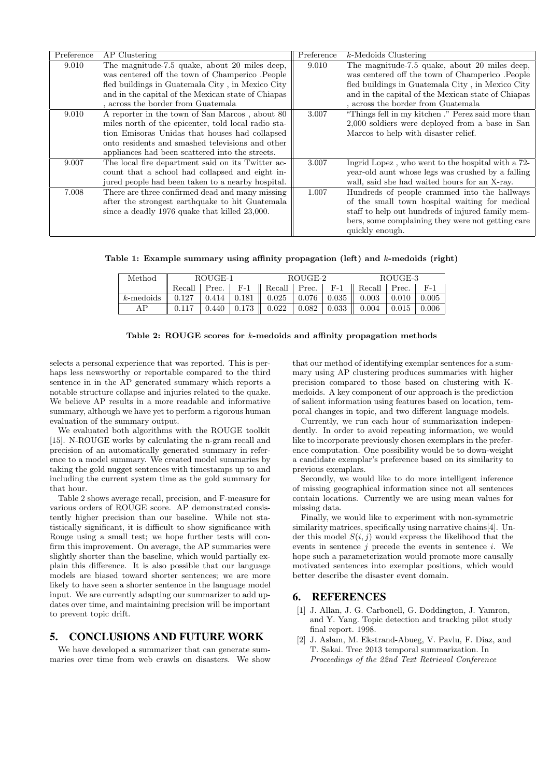| Preference | AP Clustering                                       | Preference | $k$ -Medoids Clustering                            |
|------------|-----------------------------------------------------|------------|----------------------------------------------------|
| 9.010      | The magnitude-7.5 quake, about 20 miles deep,       | 9.010      | The magnitude-7.5 quake, about 20 miles deep,      |
|            | was centered off the town of Champerico .People     |            | was centered off the town of Champerico .People    |
|            | fled buildings in Guatemala City, in Mexico City    |            | fled buildings in Guatemala City, in Mexico City   |
|            | and in the capital of the Mexican state of Chiapas  |            | and in the capital of the Mexican state of Chiapas |
|            | , across the border from Guatemala                  |            | , across the border from Guatemala                 |
| 9.010      | A reporter in the town of San Marcos, about 80      | 3.007      | "Things fell in my kitchen." Perez said more than  |
|            | miles north of the epicenter, told local radio sta- |            | 2,000 soldiers were deployed from a base in San    |
|            | tion Emisoras Unidas that houses had collapsed      |            | Marcos to help with disaster relief.               |
|            | onto residents and smashed televisions and other    |            |                                                    |
|            | appliances had been scattered into the streets.     |            |                                                    |
| 9.007      | The local fire department said on its Twitter ac-   | 3.007      | Ingrid Lopez, who went to the hospital with a 72-  |
|            | count that a school had collapsed and eight in-     |            | year-old aunt whose legs was crushed by a falling  |
|            | jured people had been taken to a nearby hospital.   |            | wall, said she had waited hours for an X-ray.      |
| 7.008      | There are three confirmed dead and many missing     | 1.007      | Hundreds of people crammed into the hallways       |
|            | after the strongest earthquake to hit Guatemala     |            | of the small town hospital waiting for medical     |
|            | since a deadly 1976 quake that killed 23,000.       |            | staff to help out hundreds of injured family mem-  |
|            |                                                     |            | bers, some complaining they were not getting care  |
|            |                                                     |            | quickly enough.                                    |

Table 1: Example summary using affinity propagation (left) and  $k$ -medoids (right)

| Method       | ROUGE-1 |  |  | ROUGE-2                                                                                              |  |                             | ROUGE-3 |       |       |
|--------------|---------|--|--|------------------------------------------------------------------------------------------------------|--|-----------------------------|---------|-------|-------|
|              |         |  |  | Recall   Prec. $\parallel$ F-1 $\parallel$ Recall   Prec. $\parallel$ F-1 $\parallel$ Recall   Prec. |  |                             |         |       | $F-1$ |
| $k$ -medoids | 0.127   |  |  | 0.414   0.181    0.025   0.076   0.035    0.003   0.010                                              |  |                             |         |       | 0.005 |
| ΔP           | 0.117   |  |  | $0.440 \mid 0.173 \mid \mid 0.022$                                                                   |  | $0.082 \pm 0.033 \pm 0.004$ |         | 0.015 | 0.006 |

#### Table 2: ROUGE scores for k-medoids and affinity propagation methods

selects a personal experience that was reported. This is perhaps less newsworthy or reportable compared to the third sentence in in the AP generated summary which reports a notable structure collapse and injuries related to the quake. We believe AP results in a more readable and informative summary, although we have yet to perform a rigorous human evaluation of the summary output.

We evaluated both algorithms with the ROUGE toolkit [15]. N-ROUGE works by calculating the n-gram recall and precision of an automatically generated summary in reference to a model summary. We created model summaries by taking the gold nugget sentences with timestamps up to and including the current system time as the gold summary for that hour.

Table 2 shows average recall, precision, and F-measure for various orders of ROUGE score. AP demonstrated consistently higher precision than our baseline. While not statistically significant, it is difficult to show significance with Rouge using a small test; we hope further tests will confirm this improvement. On average, the AP summaries were slightly shorter than the baseline, which would partially explain this difference. It is also possible that our language models are biased toward shorter sentences; we are more likely to have seen a shorter sentence in the language model input. We are currently adapting our summarizer to add updates over time, and maintaining precision will be important to prevent topic drift.

## 5. CONCLUSIONS AND FUTURE WORK

We have developed a summarizer that can generate summaries over time from web crawls on disasters. We show

that our method of identifying exemplar sentences for a summary using AP clustering produces summaries with higher precision compared to those based on clustering with Kmedoids. A key component of our approach is the prediction of salient information using features based on location, temporal changes in topic, and two different language models.

Currently, we run each hour of summarization independently. In order to avoid repeating information, we would like to incorporate previously chosen exemplars in the preference computation. One possibility would be to down-weight a candidate exemplar's preference based on its similarity to previous exemplars.

Secondly, we would like to do more intelligent inference of missing geographical information since not all sentences contain locations. Currently we are using mean values for missing data.

Finally, we would like to experiment with non-symmetric similarity matrices, specifically using narrative chains [4]. Under this model  $S(i, j)$  would express the likelihood that the events in sentence  $j$  precede the events in sentence  $i$ . We hope such a parameterization would promote more causally motivated sentences into exemplar positions, which would better describe the disaster event domain.

## 6. REFERENCES

- [1] J. Allan, J. G. Carbonell, G. Doddington, J. Yamron, and Y. Yang. Topic detection and tracking pilot study final report. 1998.
- [2] J. Aslam, M. Ekstrand-Abueg, V. Pavlu, F. Diaz, and T. Sakai. Trec 2013 temporal summarization. In Proceedings of the 22nd Text Retrieval Conference